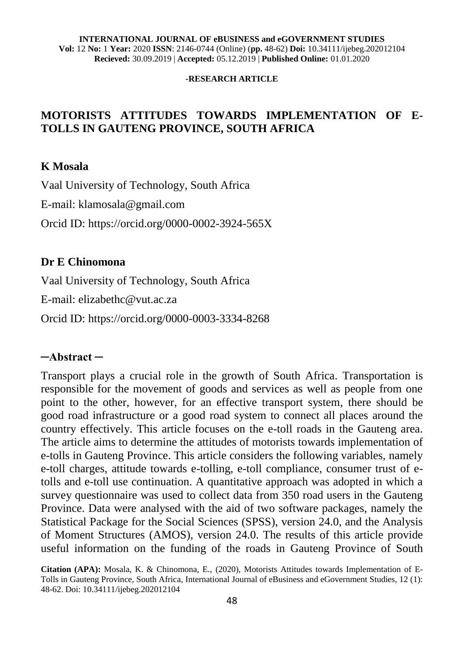#### **-RESEARCH ARTICLE**

### **MOTORISTS ATTITUDES TOWARDS IMPLEMENTATION OF E-TOLLS IN GAUTENG PROVINCE, SOUTH AFRICA**

#### **K Mosala**

Vaal University of Technology, South Africa E-mail: klamosala@gmail.com Orcid ID: <https://orcid.org/0000-0002-3924-565X>

#### **Dr E Chinomona**

Vaal University of Technology, South Africa

E-mail: elizabethc@vut.ac.za

Orcid ID:<https://orcid.org/0000-0003-3334-8268>

#### **─Abstract ─**

Transport plays a crucial role in the growth of South Africa. Transportation is responsible for the movement of goods and services as well as people from one point to the other, however, for an effective transport system, there should be good road infrastructure or a good road system to connect all places around the country effectively. This article focuses on the e-toll roads in the Gauteng area. The article aims to determine the attitudes of motorists towards implementation of e-tolls in Gauteng Province. This article considers the following variables, namely e-toll charges, attitude towards e-tolling, e-toll compliance, consumer trust of etolls and e-toll use continuation. A quantitative approach was adopted in which a survey questionnaire was used to collect data from 350 road users in the Gauteng Province. Data were analysed with the aid of two software packages, namely the Statistical Package for the Social Sciences (SPSS), version 24.0, and the Analysis of Moment Structures (AMOS), version 24.0. The results of this article provide useful information on the funding of the roads in Gauteng Province of South

**Citation (APA):** Mosala, K. & Chinomona, E., (2020), Motorists Attitudes towards Implementation of E-Tolls in Gauteng Province, South Africa, International Journal of eBusiness and eGovernment Studies, 12 (1): 48-62. Doi: 10.34111/ijebeg.202012104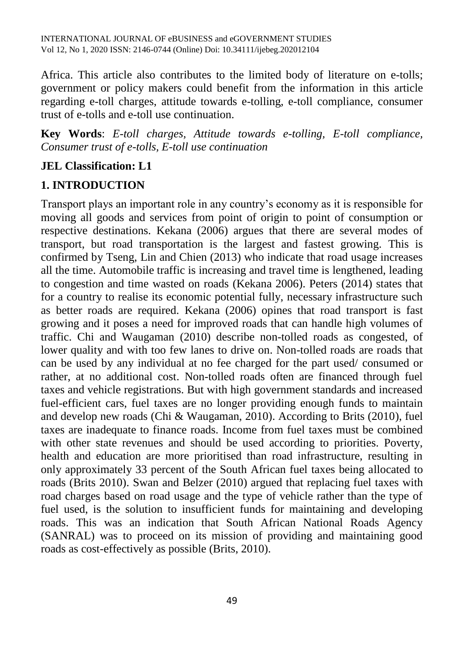Africa. This article also contributes to the limited body of literature on e-tolls; government or policy makers could benefit from the information in this article regarding e-toll charges, attitude towards e-tolling, e-toll compliance, consumer trust of e-tolls and e-toll use continuation.

**Key Words**: *E-toll charges, Attitude towards e-tolling, E-toll compliance, Consumer trust of e-tolls, E-toll use continuation*

#### **JEL Classification: L1**

### **1. INTRODUCTION**

Transport plays an important role in any country's economy as it is responsible for moving all goods and services from point of origin to point of consumption or respective destinations. Kekana (2006) argues that there are several modes of transport, but road transportation is the largest and fastest growing. This is confirmed by Tseng, Lin and Chien (2013) who indicate that road usage increases all the time. Automobile traffic is increasing and travel time is lengthened, leading to congestion and time wasted on roads (Kekana 2006). Peters (2014) states that for a country to realise its economic potential fully, necessary infrastructure such as better roads are required. Kekana (2006) opines that road transport is fast growing and it poses a need for improved roads that can handle high volumes of traffic. Chi and Waugaman (2010) describe non-tolled roads as congested, of lower quality and with too few lanes to drive on. Non-tolled roads are roads that can be used by any individual at no fee charged for the part used/ consumed or rather, at no additional cost. Non-tolled roads often are financed through fuel taxes and vehicle registrations. But with high government standards and increased fuel-efficient cars, fuel taxes are no longer providing enough funds to maintain and develop new roads (Chi & Waugaman, 2010). According to Brits (2010), fuel taxes are inadequate to finance roads. Income from fuel taxes must be combined with other state revenues and should be used according to priorities. Poverty, health and education are more prioritised than road infrastructure, resulting in only approximately 33 percent of the South African fuel taxes being allocated to roads (Brits 2010). Swan and Belzer (2010) argued that replacing fuel taxes with road charges based on road usage and the type of vehicle rather than the type of fuel used, is the solution to insufficient funds for maintaining and developing roads. This was an indication that South African National Roads Agency (SANRAL) was to proceed on its mission of providing and maintaining good roads as cost-effectively as possible (Brits, 2010).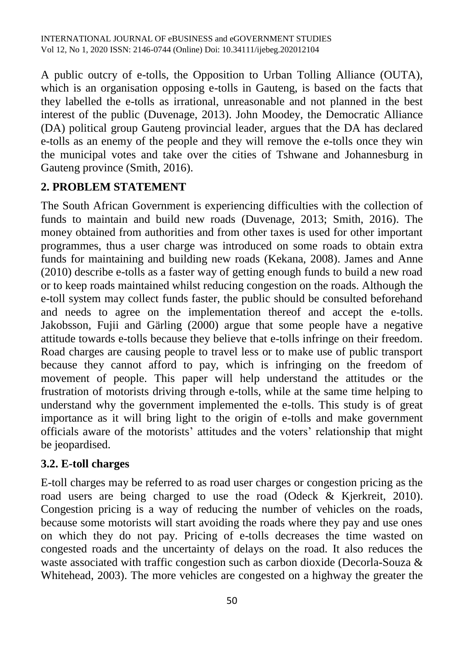A public outcry of e-tolls, the Opposition to Urban Tolling Alliance (OUTA), which is an organisation opposing e-tolls in Gauteng, is based on the facts that they labelled the e-tolls as irrational, unreasonable and not planned in the best interest of the public (Duvenage, 2013). John Moodey, the Democratic Alliance (DA) political group Gauteng provincial leader, argues that the DA has declared e-tolls as an enemy of the people and they will remove the e-tolls once they win the municipal votes and take over the cities of Tshwane and Johannesburg in Gauteng province (Smith, 2016).

## **2. PROBLEM STATEMENT**

The South African Government is experiencing difficulties with the collection of funds to maintain and build new roads (Duvenage, 2013; Smith, 2016). The money obtained from authorities and from other taxes is used for other important programmes, thus a user charge was introduced on some roads to obtain extra funds for maintaining and building new roads (Kekana, 2008). James and Anne (2010) describe e-tolls as a faster way of getting enough funds to build a new road or to keep roads maintained whilst reducing congestion on the roads. Although the e-toll system may collect funds faster, the public should be consulted beforehand and needs to agree on the implementation thereof and accept the e-tolls. Jakobsson, Fujii and Gärling (2000) argue that some people have a negative attitude towards e-tolls because they believe that e-tolls infringe on their freedom. Road charges are causing people to travel less or to make use of public transport because they cannot afford to pay, which is infringing on the freedom of movement of people. This paper will help understand the attitudes or the frustration of motorists driving through e-tolls, while at the same time helping to understand why the government implemented the e-tolls. This study is of great importance as it will bring light to the origin of e-tolls and make government officials aware of the motorists' attitudes and the voters' relationship that might be jeopardised.

#### **3.2. E-toll charges**

E-toll charges may be referred to as road user charges or congestion pricing as the road users are being charged to use the road (Odeck & Kjerkreit, 2010). Congestion pricing is a way of reducing the number of vehicles on the roads, because some motorists will start avoiding the roads where they pay and use ones on which they do not pay. Pricing of e-tolls decreases the time wasted on congested roads and the uncertainty of delays on the road. It also reduces the waste associated with traffic congestion such as carbon dioxide (Decorla-Souza & Whitehead, 2003). The more vehicles are congested on a highway the greater the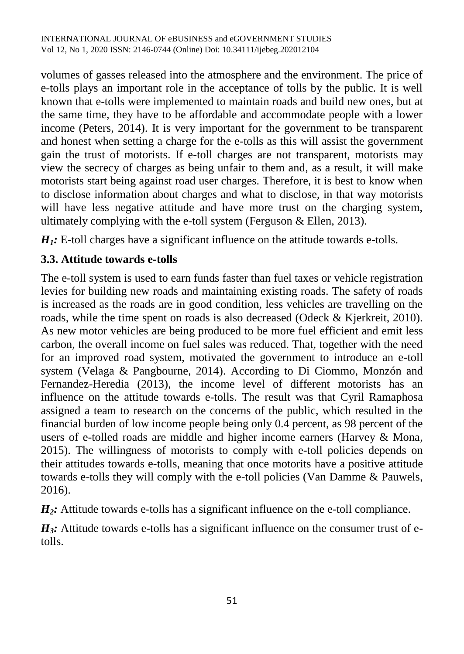volumes of gasses released into the atmosphere and the environment. The price of e-tolls plays an important role in the acceptance of tolls by the public. It is well known that e-tolls were implemented to maintain roads and build new ones, but at the same time, they have to be affordable and accommodate people with a lower income (Peters, 2014). It is very important for the government to be transparent and honest when setting a charge for the e-tolls as this will assist the government gain the trust of motorists. If e-toll charges are not transparent, motorists may view the secrecy of charges as being unfair to them and, as a result, it will make motorists start being against road user charges. Therefore, it is best to know when to disclose information about charges and what to disclose, in that way motorists will have less negative attitude and have more trust on the charging system, ultimately complying with the e-toll system (Ferguson & Ellen, 2013).

*H<sub>1</sub>*: E-toll charges have a significant influence on the attitude towards e-tolls.

## **3.3. Attitude towards e-tolls**

The e-toll system is used to earn funds faster than fuel taxes or vehicle registration levies for building new roads and maintaining existing roads. The safety of roads is increased as the roads are in good condition, less vehicles are travelling on the roads, while the time spent on roads is also decreased (Odeck & Kjerkreit, 2010). As new motor vehicles are being produced to be more fuel efficient and emit less carbon, the overall income on fuel sales was reduced. That, together with the need for an improved road system, motivated the government to introduce an e-toll system (Velaga & Pangbourne, 2014). According to Di Ciommo, Monzón and Fernandez-Heredia (2013), the income level of different motorists has an influence on the attitude towards e-tolls. The result was that Cyril Ramaphosa assigned a team to research on the concerns of the public, which resulted in the financial burden of low income people being only 0.4 percent, as 98 percent of the users of e-tolled roads are middle and higher income earners (Harvey & Mona, 2015). The willingness of motorists to comply with e-toll policies depends on their attitudes towards e-tolls, meaning that once motorits have a positive attitude towards e-tolls they will comply with the e-toll policies (Van Damme & Pauwels, 2016).

*H*<sub>2</sub>*:* Attitude towards e-tolls has a significant influence on the e-toll compliance.

 $H_3$ : Attitude towards e-tolls has a significant influence on the consumer trust of etolls.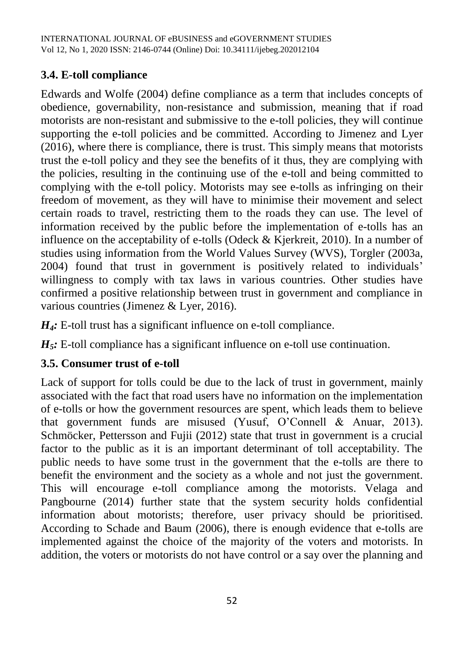## **3.4. E-toll compliance**

Edwards and Wolfe (2004) define compliance as a term that includes concepts of obedience, governability, non-resistance and submission, meaning that if road motorists are non-resistant and submissive to the e-toll policies, they will continue supporting the e-toll policies and be committed. According to Jimenez and Lyer (2016), where there is compliance, there is trust. This simply means that motorists trust the e-toll policy and they see the benefits of it thus, they are complying with the policies, resulting in the continuing use of the e-toll and being committed to complying with the e-toll policy. Motorists may see e-tolls as infringing on their freedom of movement, as they will have to minimise their movement and select certain roads to travel, restricting them to the roads they can use. The level of information received by the public before the implementation of e-tolls has an influence on the acceptability of e-tolls (Odeck & Kjerkreit, 2010). In a number of studies using information from the World Values Survey (WVS), Torgler (2003a, 2004) found that trust in government is positively related to individuals' willingness to comply with tax laws in various countries. Other studies have confirmed a positive relationship between trust in government and compliance in various countries (Jimenez & Lyer, 2016).

*H<sub>4</sub>*: E-toll trust has a significant influence on e-toll compliance.

*H5:* E-toll compliance has a significant influence on e-toll use continuation.

#### **3.5. Consumer trust of e-toll**

Lack of support for tolls could be due to the lack of trust in government, mainly associated with the fact that road users have no information on the implementation of e-tolls or how the government resources are spent, which leads them to believe that government funds are misused (Yusuf, O'Connell & Anuar, 2013). Schmöcker, Pettersson and Fujii (2012) state that trust in government is a crucial factor to the public as it is an important determinant of toll acceptability. The public needs to have some trust in the government that the e-tolls are there to benefit the environment and the society as a whole and not just the government. This will encourage e-toll compliance among the motorists. Velaga and Pangbourne (2014) further state that the system security holds confidential information about motorists; therefore, user privacy should be prioritised. According to Schade and Baum (2006), there is enough evidence that e-tolls are implemented against the choice of the majority of the voters and motorists. In addition, the voters or motorists do not have control or a say over the planning and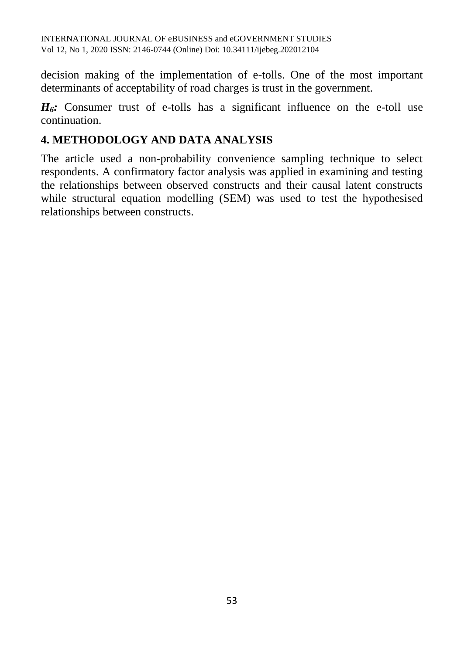decision making of the implementation of e-tolls. One of the most important determinants of acceptability of road charges is trust in the government.

 $H_6$ : Consumer trust of e-tolls has a significant influence on the e-toll use continuation.

### **4. METHODOLOGY AND DATA ANALYSIS**

The article used a non-probability convenience sampling technique to select respondents. A confirmatory factor analysis was applied in examining and testing the relationships between observed constructs and their causal latent constructs while structural equation modelling (SEM) was used to test the hypothesised relationships between constructs.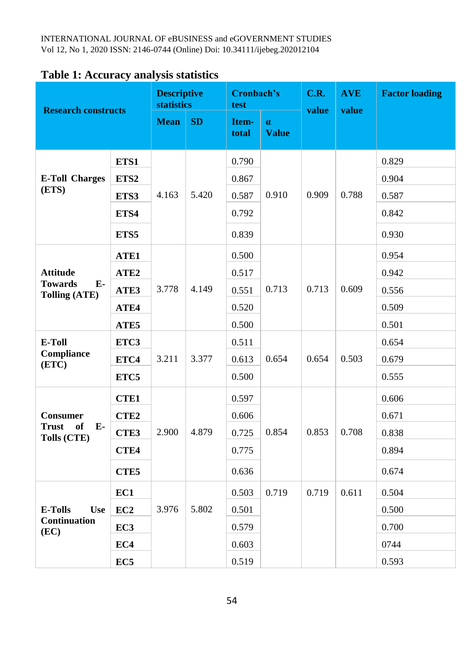| <b>Research constructs</b>                                  |                  | <b>Descriptive</b><br><b>statistics</b> |       | Cronbach's<br>test |                          | C.R.<br>value | <b>AVE</b><br>value | <b>Factor loading</b> |
|-------------------------------------------------------------|------------------|-----------------------------------------|-------|--------------------|--------------------------|---------------|---------------------|-----------------------|
|                                                             |                  | <b>Mean</b>                             | SD    | Item-<br>total     | $\alpha$<br><b>Value</b> |               |                     |                       |
| <b>E-Toll Charges</b><br>(ETS)                              | ETS1             | 4.163                                   | 5.420 | 0.790              | 0.910                    | 0.909         | 0.788               | 0.829                 |
|                                                             | ETS2             |                                         |       | 0.867              |                          |               |                     | 0.904                 |
|                                                             | ETS3             |                                         |       | 0.587              |                          |               |                     | 0.587                 |
|                                                             | ETS4             |                                         |       | 0.792              |                          |               |                     | 0.842                 |
|                                                             | ETS5             |                                         |       | 0.839              |                          |               |                     | 0.930                 |
| <b>Attitude</b><br><b>Towards</b><br>$E-$<br>Tolling (ATE)  | ATE1             | 3.778                                   | 4.149 | 0.500              | 0.713                    | 0.713         | 0.609               | 0.954                 |
|                                                             | ATE <sub>2</sub> |                                         |       | 0.517              |                          |               |                     | 0.942                 |
|                                                             | ATE3             |                                         |       | 0.551              |                          |               |                     | 0.556                 |
|                                                             | ATE4             |                                         |       | 0.520              |                          |               |                     | 0.509                 |
|                                                             | ATE5             |                                         |       | 0.500              |                          |               |                     | 0.501                 |
| <b>E-Toll</b><br>Compliance<br>(ETC)                        | ETC3             | 3.211                                   | 3.377 | 0.511              | 0.654                    | 0.654         | 0.503               | 0.654                 |
|                                                             | ETC4             |                                         |       | 0.613              |                          |               |                     | 0.679                 |
|                                                             | ETC5             |                                         |       | 0.500              |                          |               |                     | 0.555                 |
| <b>Consumer</b><br>of<br>$E-$<br>Trust<br>Tolls (CTE)       | <b>CTE1</b>      | 2.900                                   | 4.879 | 0.597              | 0.854                    | 0.853         | 0.708               | 0.606                 |
|                                                             | CTE <sub>2</sub> |                                         |       | 0.606              |                          |               |                     | 0.671                 |
|                                                             | CTE3             |                                         |       | 0.725              |                          |               |                     | 0.838                 |
|                                                             | CTE4             |                                         |       | 0.775              |                          |               |                     | 0.894                 |
|                                                             | CTE5             |                                         |       | 0.636              |                          |               |                     | 0.674                 |
| <b>E-Tolls</b><br><b>Use</b><br><b>Continuation</b><br>(EC) | EC1              | 3.976                                   | 5.802 | 0.503              | 0.719                    | 0.719         | 0.611               | 0.504                 |
|                                                             | EC <sub>2</sub>  |                                         |       | 0.501              |                          |               |                     | 0.500                 |
|                                                             | EC <sub>3</sub>  |                                         |       | 0.579              |                          |               |                     | 0.700                 |
|                                                             | EC4              |                                         |       | 0.603              |                          |               |                     | 0744                  |
|                                                             | EC <sub>5</sub>  |                                         |       | 0.519              |                          |               |                     | 0.593                 |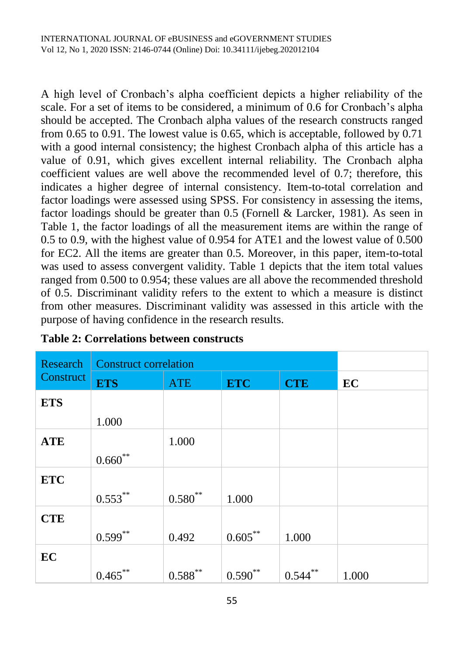A high level of Cronbach's alpha coefficient depicts a higher reliability of the scale. For a set of items to be considered, a minimum of 0.6 for Cronbach's alpha should be accepted. The Cronbach alpha values of the research constructs ranged from 0.65 to 0.91. The lowest value is 0.65, which is acceptable, followed by 0.71 with a good internal consistency; the highest Cronbach alpha of this article has a value of 0.91, which gives excellent internal reliability. The Cronbach alpha coefficient values are well above the recommended level of 0.7; therefore, this indicates a higher degree of internal consistency. Item-to-total correlation and factor loadings were assessed using SPSS. For consistency in assessing the items, factor loadings should be greater than 0.5 (Fornell & Larcker, 1981). As seen in Table 1, the factor loadings of all the measurement items are within the range of 0.5 to 0.9, with the highest value of 0.954 for ATE1 and the lowest value of 0.500 for EC2. All the items are greater than 0.5. Moreover, in this paper, item-to-total was used to assess convergent validity. Table 1 depicts that the item total values ranged from 0.500 to 0.954; these values are all above the recommended threshold of 0.5. Discriminant validity refers to the extent to which a measure is distinct from other measures. Discriminant validity was assessed in this article with the purpose of having confidence in the research results.

| <b>Research</b> | <b>Construct correlation</b> |              |             |             |       |
|-----------------|------------------------------|--------------|-------------|-------------|-------|
| Construct       | <b>ETS</b>                   | <b>ATE</b>   | <b>ETC</b>  | <b>CTE</b>  | EC    |
| <b>ETS</b>      |                              |              |             |             |       |
|                 | 1.000                        |              |             |             |       |
| <b>ATE</b>      |                              | 1.000        |             |             |       |
|                 | $0.660^{**}$                 |              |             |             |       |
| <b>ETC</b>      |                              |              |             |             |       |
|                 | $0.553***$                   | $0.580^{**}$ | 1.000       |             |       |
| <b>CTE</b>      |                              |              |             |             |       |
|                 | $0.599^{**}$                 | 0.492        | $0.605$ **  | 1.000       |       |
| EC              |                              |              |             |             |       |
|                 | 0.465                        | 0.588        | **<br>0.590 | **<br>0.544 | 1.000 |

#### **Table 2: Correlations between constructs**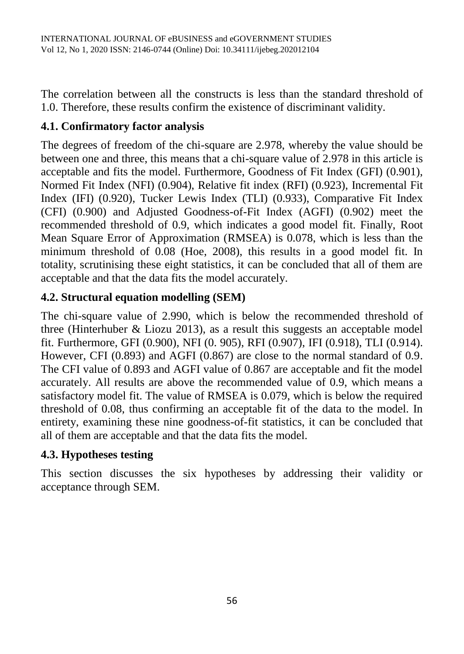The correlation between all the constructs is less than the standard threshold of 1.0. Therefore, these results confirm the existence of discriminant validity.

## **4.1. Confirmatory factor analysis**

The degrees of freedom of the chi-square are 2.978, whereby the value should be between one and three, this means that a chi-square value of 2.978 in this article is acceptable and fits the model. Furthermore, Goodness of Fit Index (GFI) (0.901), Normed Fit Index (NFI) (0.904), Relative fit index (RFI) (0.923), Incremental Fit Index (IFI) (0.920), Tucker Lewis Index (TLI) (0.933), Comparative Fit Index (CFI) (0.900) and Adjusted Goodness-of-Fit Index (AGFI) (0.902) meet the recommended threshold of 0.9, which indicates a good model fit. Finally, Root Mean Square Error of Approximation (RMSEA) is 0.078, which is less than the minimum threshold of 0.08 (Hoe, 2008), this results in a good model fit. In totality, scrutinising these eight statistics, it can be concluded that all of them are acceptable and that the data fits the model accurately.

## **4.2. Structural equation modelling (SEM)**

The chi-square value of 2.990, which is below the recommended threshold of three (Hinterhuber & Liozu 2013), as a result this suggests an acceptable model fit. Furthermore, GFI (0.900), NFI (0. 905), RFI (0.907), IFI (0.918), TLI (0.914). However, CFI (0.893) and AGFI (0.867) are close to the normal standard of 0.9. The CFI value of 0.893 and AGFI value of 0.867 are acceptable and fit the model accurately. All results are above the recommended value of 0.9, which means a satisfactory model fit. The value of RMSEA is 0.079, which is below the required threshold of 0.08, thus confirming an acceptable fit of the data to the model. In entirety, examining these nine goodness-of-fit statistics, it can be concluded that all of them are acceptable and that the data fits the model.

## **4.3. Hypotheses testing**

This section discusses the six hypotheses by addressing their validity or acceptance through SEM.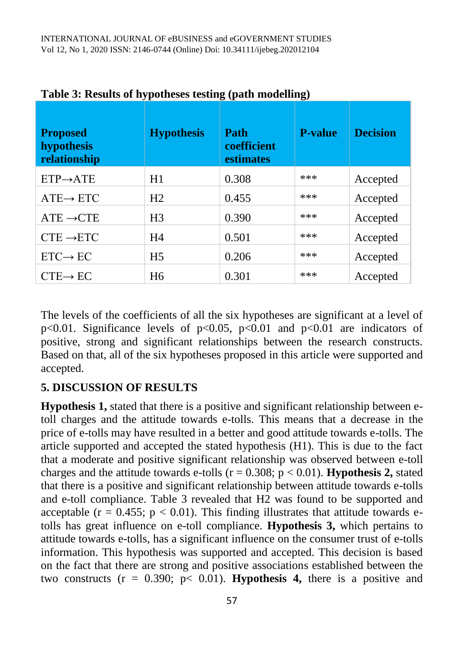| <b>Proposed</b><br>hypothesis<br>relationship | <b>Hypothesis</b> | Path<br>coefficient<br>estimates | <b>P-value</b> | <b>Decision</b> |
|-----------------------------------------------|-------------------|----------------------------------|----------------|-----------------|
| $ETP \rightarrow ATE$                         | H1                | 0.308                            | ***            | Accepted        |
| $ATE \rightarrow ETC$                         | H <sub>2</sub>    | 0.455                            | ***            | Accepted        |
| $ATE \rightarrow CTE$                         | H <sub>3</sub>    | 0.390                            | ***            | Accepted        |
| $CTE \rightarrow ETC$                         | H4                | 0.501                            | ***            | Accepted        |
| $ETC \rightarrow EC$                          | H <sub>5</sub>    | 0.206                            | ***            | Accepted        |
| $CTE \rightarrow EC$                          | H <sub>6</sub>    | 0.301                            | ***            | Accepted        |

**Table 3: Results of hypotheses testing (path modelling)**

The levels of the coefficients of all the six hypotheses are significant at a level of p<0.01. Significance levels of p<0.05, p<0.01 and p<0.01 are indicators of positive, strong and significant relationships between the research constructs. Based on that, all of the six hypotheses proposed in this article were supported and accepted.

#### **5. DISCUSSION OF RESULTS**

**Hypothesis 1,** stated that there is a positive and significant relationship between etoll charges and the attitude towards e-tolls. This means that a decrease in the price of e-tolls may have resulted in a better and good attitude towards e-tolls. The article supported and accepted the stated hypothesis (H1). This is due to the fact that a moderate and positive significant relationship was observed between e-toll charges and the attitude towards e-tolls  $(r = 0.308; p < 0.01)$ . **Hypothesis 2,** stated that there is a positive and significant relationship between attitude towards e-tolls and e-toll compliance. Table 3 revealed that H2 was found to be supported and acceptable ( $r = 0.455$ ;  $p < 0.01$ ). This finding illustrates that attitude towards etolls has great influence on e-toll compliance. **Hypothesis 3,** which pertains to attitude towards e-tolls, has a significant influence on the consumer trust of e-tolls information. This hypothesis was supported and accepted. This decision is based on the fact that there are strong and positive associations established between the two constructs  $(r = 0.390; p < 0.01)$ . **Hypothesis 4,** there is a positive and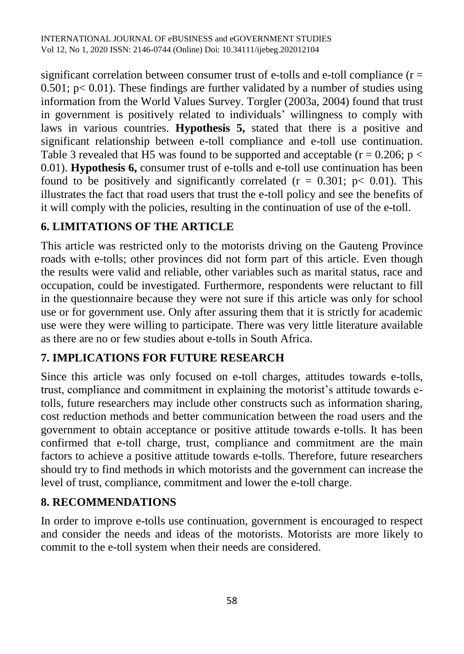significant correlation between consumer trust of e-tolls and e-toll compliance  $(r =$  $0.501$ ; p $< 0.01$ ). These findings are further validated by a number of studies using information from the World Values Survey. Torgler (2003a, 2004) found that trust in government is positively related to individuals' willingness to comply with laws in various countries. **Hypothesis 5,** stated that there is a positive and significant relationship between e-toll compliance and e-toll use continuation. Table 3 revealed that H5 was found to be supported and acceptable ( $r = 0.206$ ; p  $\lt$ 0.01). **Hypothesis 6,** consumer trust of e-tolls and e-toll use continuation has been found to be positively and significantly correlated ( $r = 0.301$ ;  $p < 0.01$ ). This illustrates the fact that road users that trust the e-toll policy and see the benefits of it will comply with the policies, resulting in the continuation of use of the e-toll.

# **6. LIMITATIONS OF THE ARTICLE**

This article was restricted only to the motorists driving on the Gauteng Province roads with e-tolls; other provinces did not form part of this article. Even though the results were valid and reliable, other variables such as marital status, race and occupation, could be investigated. Furthermore, respondents were reluctant to fill in the questionnaire because they were not sure if this article was only for school use or for government use. Only after assuring them that it is strictly for academic use were they were willing to participate. There was very little literature available as there are no or few studies about e-tolls in South Africa.

## **7. IMPLICATIONS FOR FUTURE RESEARCH**

Since this article was only focused on e-toll charges, attitudes towards e-tolls, trust, compliance and commitment in explaining the motorist's attitude towards etolls, future researchers may include other constructs such as information sharing, cost reduction methods and better communication between the road users and the government to obtain acceptance or positive attitude towards e-tolls. It has been confirmed that e-toll charge, trust, compliance and commitment are the main factors to achieve a positive attitude towards e-tolls. Therefore, future researchers should try to find methods in which motorists and the government can increase the level of trust, compliance, commitment and lower the e-toll charge.

## **8. RECOMMENDATIONS**

In order to improve e-tolls use continuation, government is encouraged to respect and consider the needs and ideas of the motorists. Motorists are more likely to commit to the e-toll system when their needs are considered.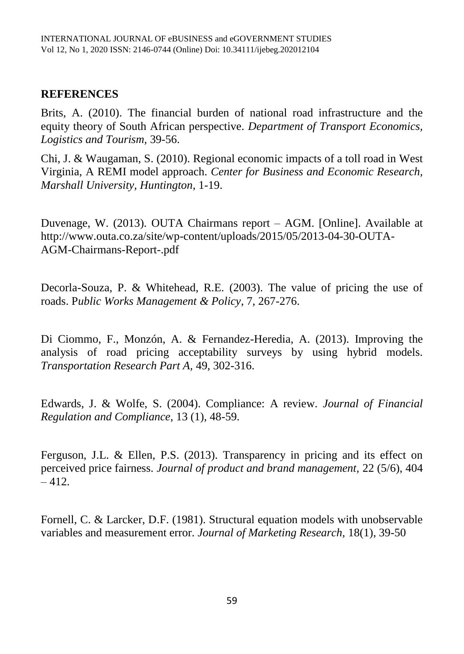#### **REFERENCES**

Brits, A. (2010). The financial burden of national road infrastructure and the equity theory of South African perspective. *Department of Transport Economics, Logistics and Tourism,* 39-56.

Chi, J. & Waugaman, S. (2010). Regional economic impacts of a toll road in West Virginia, A REMI model approach. *Center for Business and Economic Research, Marshall University, Huntington*, 1-19.

Duvenage, W. (2013). OUTA Chairmans report – AGM. [Online]. Available at http://www.outa.co.za/site/wp-content/uploads/2015/05/2013-04-30-OUTA-AGM-Chairmans-Report-.pdf

Decorla-Souza, P. & Whitehead, R.E. (2003). The value of pricing the use of roads. P*ublic Works Management & Policy*, 7, 267-276.

Di Ciommo, F., Monzón, A. & Fernandez-Heredia, A. (2013). Improving the analysis of road pricing acceptability surveys by using hybrid models. *Transportation Research Part A,* 49, 302-316.

Edwards, J. & Wolfe, S. (2004). Compliance: A review. *Journal of Financial Regulation and Compliance*, 13 (1), 48-59.

Ferguson, J.L. & Ellen, P.S. (2013). Transparency in pricing and its effect on perceived price fairness. *Journal of product and brand management,* 22 (5/6), 404  $-412.$ 

Fornell, C. & Larcker, D.F. (1981). Structural equation models with unobservable variables and measurement error. *Journal of Marketing Research,* 18(1), 39-50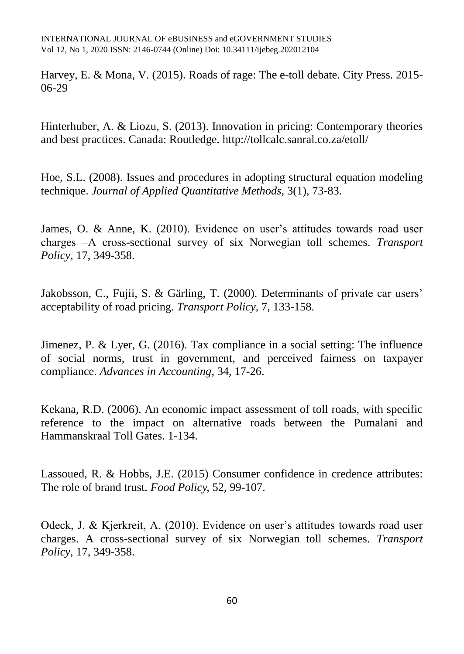Harvey, E. & Mona, V. (2015). Roads of rage: The e-toll debate. City Press. 2015- 06-29

Hinterhuber, A. & Liozu, S. (2013). Innovation in pricing: Contemporary theories and best practices. Canada: Routledge. <http://tollcalc.sanral.co.za/etoll/>

Hoe, S.L. (2008). Issues and procedures in adopting structural equation modeling technique. *Journal of Applied Quantitative Methods,* 3(1), 73-83.

James, O. & Anne, K. (2010). Evidence on user's attitudes towards road user charges ‒A cross-sectional survey of six Norwegian toll schemes. *Transport Policy,* 17, 349-358.

Jakobsson, C., Fujii, S. & Gärling, T. (2000). Determinants of private car users' acceptability of road pricing*. Transport Policy,* 7, 133-158.

Jimenez, P. & Lyer, G. (2016). Tax compliance in a social setting: The influence of social norms, trust in government, and perceived fairness on taxpayer compliance. *[Advances in Accounting](http://www.sciencedirect.com/science/journal/08826110)*, [34,](http://www.sciencedirect.com/science/journal/08826110/34/supp/C) 17-26.

Kekana, R.D. (2006). An economic impact assessment of toll roads, with specific reference to the impact on alternative roads between the Pumalani and Hammanskraal Toll Gates. 1-134.

Lassoued, R. & Hobbs, J.E. (2015) Consumer confidence in credence attributes: The role of brand trust. *Food Policy,* 52, 99-107.

Odeck, J. & Kjerkreit, A. (2010). Evidence on user's attitudes towards road user charges. A cross-sectional survey of six Norwegian toll schemes. *Transport Policy,* 17, 349-358.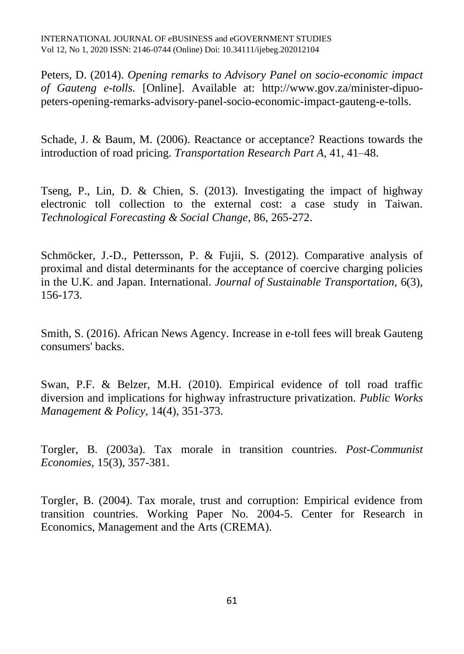Peters, D. (2014). *Opening remarks to Advisory Panel on socio-economic impact of Gauteng e-tolls.* [Online]. Available at: [http://www.gov.za/minister-dipuo](http://www.gov.za/minister-dipuo-peters-opening-remarks-advisory-panel-socio-economic-impact-gauteng-e-tolls)[peters-opening-remarks-advisory-panel-socio-economic-impact-gauteng-e-tolls.](http://www.gov.za/minister-dipuo-peters-opening-remarks-advisory-panel-socio-economic-impact-gauteng-e-tolls)

Schade, J. & Baum, M. (2006). Reactance or acceptance? Reactions towards the introduction of road pricing. *Transportation Research Part A,* 41, 41–48.

Tseng, P., Lin, D. & Chien, S. (2013). Investigating the impact of highway electronic toll collection to the external cost: a case study in Taiwan. *Technological Forecasting & Social Change*, 86, 265-272.

Schmöcker, J.-D., Pettersson, P. & Fujii, S. (2012). Comparative analysis of proximal and distal determinants for the acceptance of coercive charging policies in the U.K. and Japan. International. *Journal of Sustainable Transportation,* 6(3), 156-173.

Smith, S. (2016). African News Agency. Increase in e-toll fees will break Gauteng consumers' backs.

Swan, P.F. & Belzer, M.H. (2010). Empirical evidence of toll road traffic diversion and implications for highway infrastructure privatization. *Public Works Management & Policy,* 14(4), 351-373.

Torgler, B. (2003a). Tax morale in transition countries. *Post-Communist Economies,* 15(3), 357-381.

Torgler, B. (2004). Tax morale, trust and corruption: Empirical evidence from transition countries. Working Paper No. 2004-5. Center for Research in Economics, Management and the Arts (CREMA).